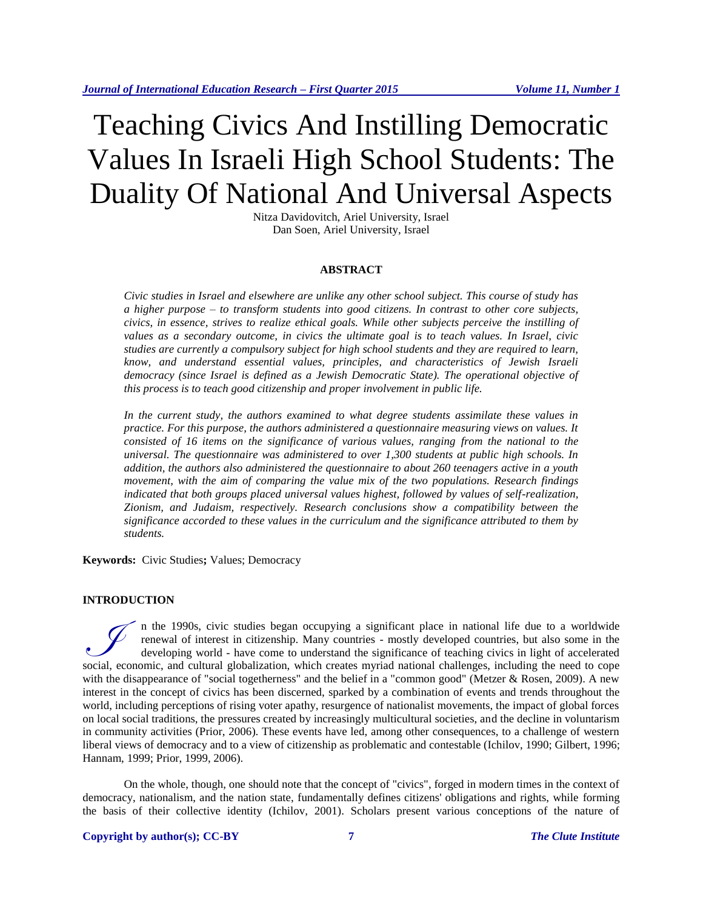# Teaching Civics And Instilling Democratic Values In Israeli High School Students: The Duality Of National And Universal Aspects

Nitza Davidovitch, Ariel University, Israel Dan Soen, Ariel University, Israel

#### **ABSTRACT**

*Civic studies in Israel and elsewhere are unlike any other school subject. This course of study has a higher purpose – to transform students into good citizens. In contrast to other core subjects, civics, in essence, strives to realize ethical goals. While other subjects perceive the instilling of values as a secondary outcome, in civics the ultimate goal is to teach values. In Israel, civic studies are currently a compulsory subject for high school students and they are required to learn, know, and understand essential values, principles, and characteristics of Jewish Israeli democracy (since Israel is defined as a Jewish Democratic State). The operational objective of this process is to teach good citizenship and proper involvement in public life.* 

*In the current study, the authors examined to what degree students assimilate these values in practice. For this purpose, the authors administered a questionnaire measuring views on values. It consisted of 16 items on the significance of various values, ranging from the national to the universal. The questionnaire was administered to over 1,300 students at public high schools. In addition, the authors also administered the questionnaire to about 260 teenagers active in a youth movement, with the aim of comparing the value mix of the two populations. Research findings indicated that both groups placed universal values highest, followed by values of self-realization, Zionism, and Judaism, respectively. Research conclusions show a compatibility between the significance accorded to these values in the curriculum and the significance attributed to them by students.*

**Keywords:** Civic Studies**;** Values; Democracy

# **INTRODUCTION**

n the 1990s, civic studies began occupying a significant place in national life due to a worldwide renewal of interest in citizenship. Many countries - mostly developed countries, but also some in the developing world - have come to understand the significance of teaching civics in light of accelerated In the 1990s, civic studies began occupying a significant place in national life due to a worldwide<br>renewal of interest in citizenship. Many countries - mostly developed countries, but also some in the<br>developing world - h with the disappearance of "social togetherness" and the belief in a "common good" (Metzer & Rosen, 2009). A new interest in the concept of civics has been discerned, sparked by a combination of events and trends throughout the world, including perceptions of rising voter apathy, resurgence of nationalist movements, the impact of global forces on local social traditions, the pressures created by increasingly multicultural societies, and the decline in voluntarism in community activities (Prior, 2006). These events have led, among other consequences, to a challenge of western liberal views of democracy and to a view of citizenship as problematic and contestable (Ichilov, 1990; Gilbert, 1996; Hannam, 1999; Prior, 1999, 2006).

On the whole, though, one should note that the concept of "civics", forged in modern times in the context of democracy, nationalism, and the nation state, fundamentally defines citizens' obligations and rights, while forming the basis of their collective identity (Ichilov, 2001). Scholars present various conceptions of the nature of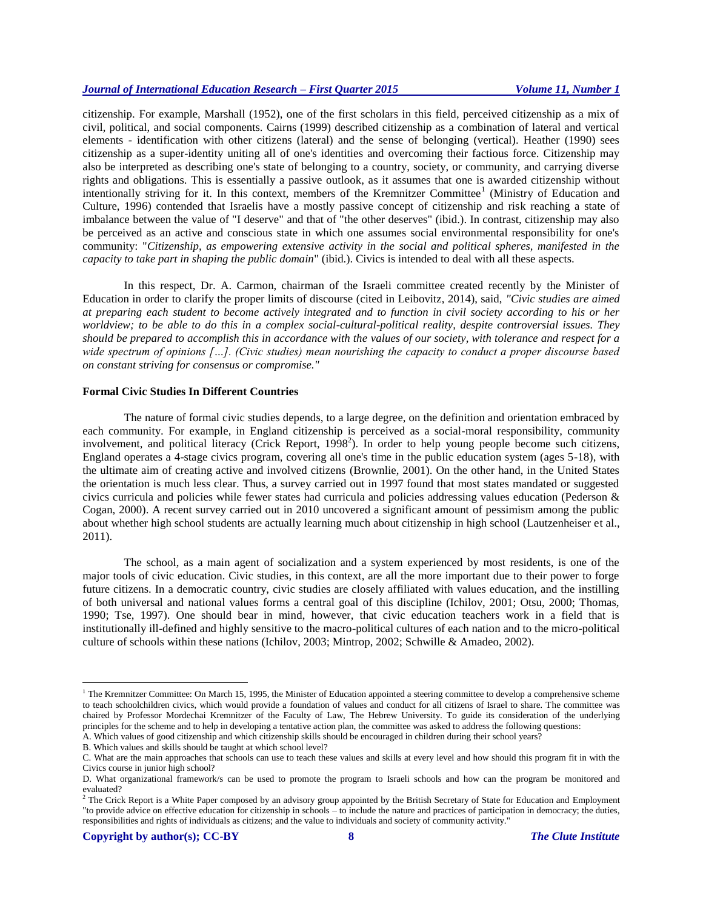citizenship. For example, Marshall (1952), one of the first scholars in this field, perceived citizenship as a mix of civil, political, and social components. Cairns (1999) described citizenship as a combination of lateral and vertical elements - identification with other citizens (lateral) and the sense of belonging (vertical). Heather (1990) sees citizenship as a super-identity uniting all of one's identities and overcoming their factious force. Citizenship may also be interpreted as describing one's state of belonging to a country, society, or community, and carrying diverse rights and obligations. This is essentially a passive outlook, as it assumes that one is awarded citizenship without intentionally striving for it. In this context, members of the Kremnitzer Committee<sup>1</sup> (Ministry of Education and Culture, 1996) contended that Israelis have a mostly passive concept of citizenship and risk reaching a state of imbalance between the value of "I deserve" and that of "the other deserves" (ibid.). In contrast, citizenship may also be perceived as an active and conscious state in which one assumes social environmental responsibility for one's community: "*Citizenship, as empowering extensive activity in the social and political spheres, manifested in the capacity to take part in shaping the public domain*" (ibid.). Civics is intended to deal with all these aspects.

In this respect, Dr. A. Carmon, chairman of the Israeli committee created recently by the Minister of Education in order to clarify the proper limits of discourse (cited in Leibovitz, 2014), said, *"Civic studies are aimed at preparing each student to become actively integrated and to function in civil society according to his or her worldview; to be able to do this in a complex social-cultural-political reality, despite controversial issues. They should be prepared to accomplish this in accordance with the values of our society, with tolerance and respect for a wide spectrum of opinions […]. (Civic studies) mean nourishing the capacity to conduct a proper discourse based on constant striving for consensus or compromise."*

# **Formal Civic Studies In Different Countries**

The nature of formal civic studies depends, to a large degree, on the definition and orientation embraced by each community. For example, in England citizenship is perceived as a social-moral responsibility, community involvement, and political literacy (Crick Report, 1998<sup>2</sup>). In order to help young people become such citizens, England operates a 4-stage civics program, covering all one's time in the public education system (ages 5-18), with the ultimate aim of creating active and involved citizens (Brownlie, 2001). On the other hand, in the United States the orientation is much less clear. Thus, a survey carried out in 1997 found that most states mandated or suggested civics curricula and policies while fewer states had curricula and policies addressing values education (Pederson & Cogan, 2000). A recent survey carried out in 2010 uncovered a significant amount of pessimism among the public about whether high school students are actually learning much about citizenship in high school (Lautzenheiser et al., 2011).

The school, as a main agent of socialization and a system experienced by most residents, is one of the major tools of civic education. Civic studies, in this context, are all the more important due to their power to forge future citizens. In a democratic country, civic studies are closely affiliated with values education, and the instilling of both universal and national values forms a central goal of this discipline (Ichilov, 2001; Otsu, 2000; Thomas, 1990; Tse, 1997). One should bear in mind, however, that civic education teachers work in a field that is institutionally ill-defined and highly sensitive to the macro-political cultures of each nation and to the micro-political culture of schools within these nations (Ichilov, 2003; Mintrop, 2002; Schwille & Amadeo, 2002).

 $\overline{a}$ 

<sup>&</sup>lt;sup>1</sup> The Kremnitzer Committee: On March 15, 1995, the Minister of Education appointed a steering committee to develop a comprehensive scheme to teach schoolchildren civics, which would provide a foundation of values and conduct for all citizens of Israel to share. The committee was chaired by Professor Mordechai Kremnitzer of the Faculty of Law, The Hebrew University. To guide its consideration of the underlying principles for the scheme and to help in developing a tentative action plan, the committee was asked to address the following questions:

A. Which values of good citizenship and which citizenship skills should be encouraged in children during their school years?

B. Which values and skills should be taught at which school level?

C. What are the main approaches that schools can use to teach these values and skills at every level and how should this program fit in with the Civics course in junior high school?

D. What organizational framework/s can be used to promote the program to Israeli schools and how can the program be monitored and evaluated?

 $<sup>2</sup>$  The Crick Report is a White Paper composed by an advisory group appointed by the British Secretary of State for Education and Employment</sup> "to provide advice on effective education for citizenship in schools – to include the nature and practices of participation in democracy; the duties, responsibilities and rights of individuals as citizens; and the value to individuals and society of community activity."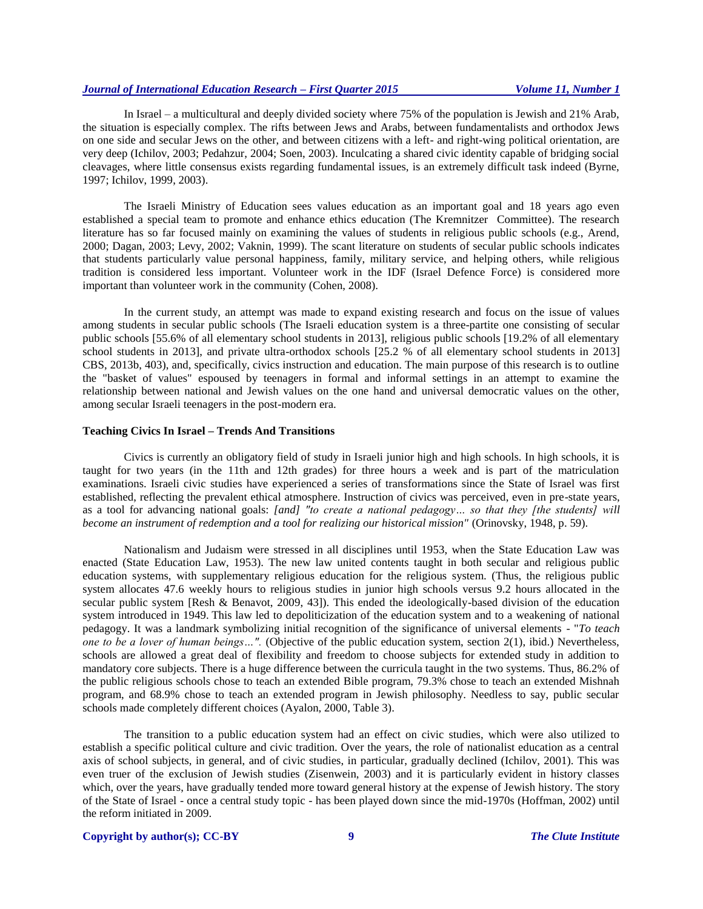In Israel – a multicultural and deeply divided society where 75% of the population is Jewish and 21% Arab, the situation is especially complex. The rifts between Jews and Arabs, between fundamentalists and orthodox Jews on one side and secular Jews on the other, and between citizens with a left- and right-wing political orientation, are very deep (Ichilov, 2003; Pedahzur, 2004; Soen, 2003). Inculcating a shared civic identity capable of bridging social cleavages, where little consensus exists regarding fundamental issues, is an extremely difficult task indeed (Byrne, 1997; Ichilov, 1999, 2003).

The Israeli Ministry of Education sees values education as an important goal and 18 years ago even established a special team to promote and enhance ethics education (The Kremnitzer Committee). The research literature has so far focused mainly on examining the values of students in religious public schools (e.g., Arend, 2000; Dagan, 2003; Levy, 2002; Vaknin, 1999). The scant literature on students of secular public schools indicates that students particularly value personal happiness, family, military service, and helping others, while religious tradition is considered less important. Volunteer work in the IDF (Israel Defence Force) is considered more important than volunteer work in the community (Cohen, 2008).

In the current study, an attempt was made to expand existing research and focus on the issue of values among students in secular public schools (The Israeli education system is a three-partite one consisting of secular public schools [55.6% of all elementary school students in 2013], religious public schools [19.2% of all elementary school students in 2013], and private ultra-orthodox schools [25.2 % of all elementary school students in 2013] CBS, 2013b, 403), and, specifically, civics instruction and education. The main purpose of this research is to outline the "basket of values" espoused by teenagers in formal and informal settings in an attempt to examine the relationship between national and Jewish values on the one hand and universal democratic values on the other, among secular Israeli teenagers in the post-modern era.

# **Teaching Civics In Israel – Trends And Transitions**

Civics is currently an obligatory field of study in Israeli junior high and high schools. In high schools, it is taught for two years (in the 11th and 12th grades) for three hours a week and is part of the matriculation examinations. Israeli civic studies have experienced a series of transformations since the State of Israel was first established, reflecting the prevalent ethical atmosphere. Instruction of civics was perceived, even in pre-state years, as a tool for advancing national goals: *[and] "to create a national pedagogy… so that they [the students] will become an instrument of redemption and a tool for realizing our historical mission"* (Orinovsky, 1948, p. 59).

Nationalism and Judaism were stressed in all disciplines until 1953, when the State Education Law was enacted (State Education Law, 1953). The new law united contents taught in both secular and religious public education systems, with supplementary religious education for the religious system. (Thus, the religious public system allocates 47.6 weekly hours to religious studies in junior high schools versus 9.2 hours allocated in the secular public system [Resh & Benavot, 2009, 43]). This ended the ideologically-based division of the education system introduced in 1949. This law led to depoliticization of the education system and to a weakening of national pedagogy. It was a landmark symbolizing initial recognition of the significance of universal elements - "*To teach one to be a lover of human beings…".* (Objective of the public education system, section 2(1), ibid.) Nevertheless, schools are allowed a great deal of flexibility and freedom to choose subjects for extended study in addition to mandatory core subjects. There is a huge difference between the curricula taught in the two systems. Thus, 86.2% of the public religious schools chose to teach an extended Bible program, 79.3% chose to teach an extended Mishnah program, and 68.9% chose to teach an extended program in Jewish philosophy. Needless to say, public secular schools made completely different choices (Ayalon, 2000, Table 3).

The transition to a public education system had an effect on civic studies, which were also utilized to establish a specific political culture and civic tradition. Over the years, the role of nationalist education as a central axis of school subjects, in general, and of civic studies, in particular, gradually declined (Ichilov, 2001). This was even truer of the exclusion of Jewish studies (Zisenwein, 2003) and it is particularly evident in history classes which, over the years, have gradually tended more toward general history at the expense of Jewish history. The story of the State of Israel - once a central study topic - has been played down since the mid-1970s (Hoffman, 2002) until the reform initiated in 2009.

#### **Copyright by author(s); CC-BY 9** *The Clute Institute*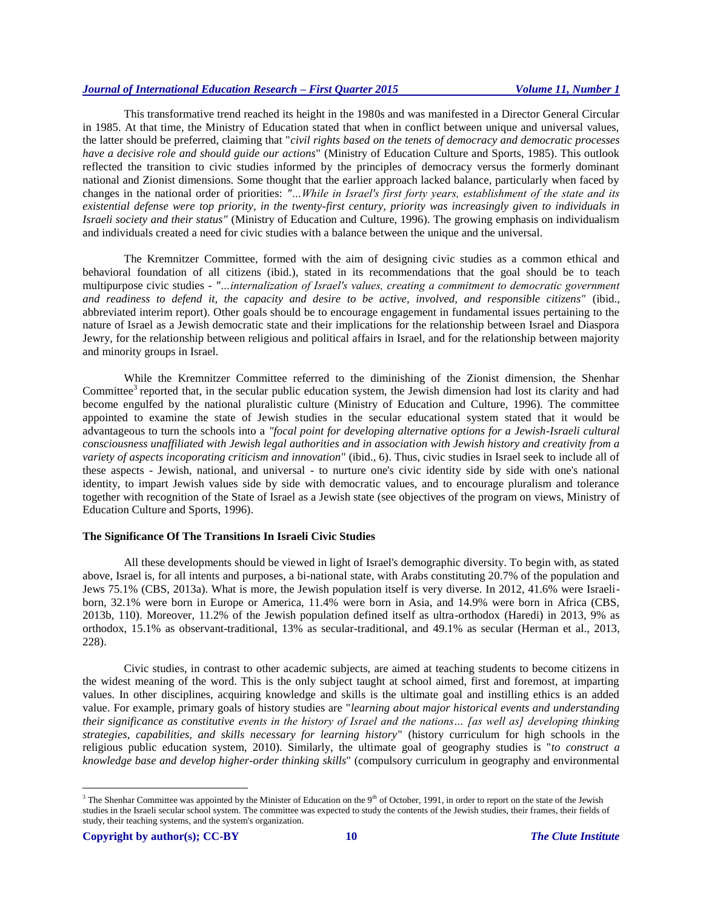This transformative trend reached its height in the 1980s and was manifested in a Director General Circular in 1985. At that time, the Ministry of Education stated that when in conflict between unique and universal values, the latter should be preferred, claiming that "*civil rights based on the tenets of democracy and democratic processes have a decisive role and should guide our actions*" (Ministry of Education Culture and Sports, 1985). This outlook reflected the transition to civic studies informed by the principles of democracy versus the formerly dominant national and Zionist dimensions. Some thought that the earlier approach lacked balance, particularly when faced by changes in the national order of priorities: *"…While in Israel's first forty years, establishment of the state and its existential defense were top priority, in the twenty-first century, priority was increasingly given to individuals in Israeli society and their status"* (Ministry of Education and Culture, 1996). The growing emphasis on individualism and individuals created a need for civic studies with a balance between the unique and the universal.

The Kremnitzer Committee, formed with the aim of designing civic studies as a common ethical and behavioral foundation of all citizens (ibid.), stated in its recommendations that the goal should be to teach multipurpose civic studies - *"…internalization of Israel's values, creating a commitment to democratic government and readiness to defend it, the capacity and desire to be active, involved, and responsible citizens"* (ibid., abbreviated interim report). Other goals should be to encourage engagement in fundamental issues pertaining to the nature of Israel as a Jewish democratic state and their implications for the relationship between Israel and Diaspora Jewry, for the relationship between religious and political affairs in Israel, and for the relationship between majority and minority groups in Israel.

While the Kremnitzer Committee referred to the diminishing of the Zionist dimension, the Shenhar Committee<sup>3</sup> reported that, in the secular public education system, the Jewish dimension had lost its clarity and had become engulfed by the national pluralistic culture (Ministry of Education and Culture, 1996). The committee appointed to examine the state of Jewish studies in the secular educational system stated that it would be advantageous to turn the schools into a *"focal point for developing alternative options for a Jewish-Israeli cultural consciousness unaffiliated with Jewish legal authorities and in association with Jewish history and creativity from a variety of aspects incoporating criticism and innovation"* (ibid., 6). Thus, civic studies in Israel seek to include all of these aspects - Jewish, national, and universal - to nurture one's civic identity side by side with one's national identity, to impart Jewish values side by side with democratic values, and to encourage pluralism and tolerance together with recognition of the State of Israel as a Jewish state (see objectives of the program on views, Ministry of Education Culture and Sports, 1996).

# **The Significance Of The Transitions In Israeli Civic Studies**

All these developments should be viewed in light of Israel's demographic diversity. To begin with, as stated above, Israel is, for all intents and purposes, a bi-national state, with Arabs constituting 20.7% of the population and Jews 75.1% (CBS, 2013a). What is more, the Jewish population itself is very diverse. In 2012, 41.6% were Israeliborn, 32.1% were born in Europe or America, 11.4% were born in Asia, and 14.9% were born in Africa (CBS, 2013b, 110). Moreover, 11.2% of the Jewish population defined itself as ultra-orthodox (Haredi) in 2013, 9% as orthodox, 15.1% as observant-traditional, 13% as secular-traditional, and 49.1% as secular (Herman et al., 2013, 228).

Civic studies, in contrast to other academic subjects, are aimed at teaching students to become citizens in the widest meaning of the word. This is the only subject taught at school aimed, first and foremost, at imparting values. In other disciplines, acquiring knowledge and skills is the ultimate goal and instilling ethics is an added value. For example, primary goals of history studies are "*learning about major historical events and understanding their significance as constitutive events in the history of Israel and the nations… [as well as] developing thinking strategies, capabilities, and skills necessary for learning history"* (history curriculum for high schools in the religious public education system, 2010). Similarly, the ultimate goal of geography studies is "*to construct a knowledge base and develop higher-order thinking skills*" (compulsory curriculum in geography and environmental

 $\overline{a}$ <sup>3</sup> The Shenhar Committee was appointed by the Minister of Education on the 9<sup>th</sup> of October, 1991, in order to report on the state of the Jewish studies in the Israeli secular school system. The committee was expected to study the contents of the Jewish studies, their frames, their fields of study, their teaching systems, and the system's organization.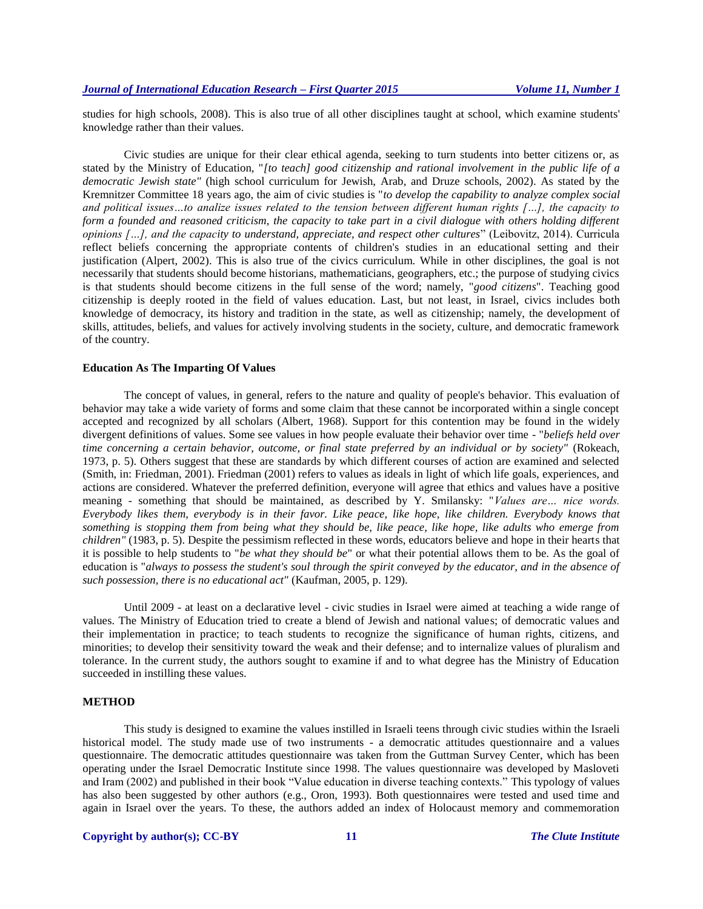studies for high schools, 2008). This is also true of all other disciplines taught at school, which examine students' knowledge rather than their values.

Civic studies are unique for their clear ethical agenda, seeking to turn students into better citizens or, as stated by the Ministry of Education, "*[to teach] good citizenship and rational involvement in the public life of a democratic Jewish state"* (high school curriculum for Jewish, Arab, and Druze schools, 2002). As stated by the Kremnitzer Committee 18 years ago, the aim of civic studies is "*to develop the capability to analyze complex social and political issues…to analize issues related to the tension between different human rights […], the capacity to form a founded and reasoned criticism, the capacity to take part in a civil dialogue with others holding different opinions […], and the capacity to understand, appreciate, and respect other cultures*" (Leibovitz, 2014). Curricula reflect beliefs concerning the appropriate contents of children's studies in an educational setting and their justification (Alpert, 2002). This is also true of the civics curriculum. While in other disciplines, the goal is not necessarily that students should become historians, mathematicians, geographers, etc.; the purpose of studying civics is that students should become citizens in the full sense of the word; namely, "*good citizens*". Teaching good citizenship is deeply rooted in the field of values education. Last, but not least, in Israel, civics includes both knowledge of democracy, its history and tradition in the state, as well as citizenship; namely, the development of skills, attitudes, beliefs, and values for actively involving students in the society, culture, and democratic framework of the country.

# **Education As The Imparting Of Values**

The concept of values, in general, refers to the nature and quality of people's behavior. This evaluation of behavior may take a wide variety of forms and some claim that these cannot be incorporated within a single concept accepted and recognized by all scholars (Albert, 1968). Support for this contention may be found in the widely divergent definitions of values. Some see values in how people evaluate their behavior over time - "*beliefs held over time concerning a certain behavior, outcome, or final state preferred by an individual or by society"* (Rokeach, 1973, p. 5). Others suggest that these are standards by which different courses of action are examined and selected (Smith, in: Friedman, 2001). Friedman (2001) refers to values as ideals in light of which life goals, experiences, and actions are considered. Whatever the preferred definition, everyone will agree that ethics and values have a positive meaning - something that should be maintained, as described by Y. Smilansky: "*Values are… nice words. Everybody likes them, everybody is in their favor. Like peace, like hope, like children. Everybody knows that something is stopping them from being what they should be, like peace, like hope, like adults who emerge from children"* (1983, p. 5). Despite the pessimism reflected in these words, educators believe and hope in their hearts that it is possible to help students to "*be what they should be*" or what their potential allows them to be. As the goal of education is "*always to possess the student's soul through the spirit conveyed by the educator, and in the absence of such possession, there is no educational act"* (Kaufman, 2005, p. 129).

Until 2009 - at least on a declarative level - civic studies in Israel were aimed at teaching a wide range of values. The Ministry of Education tried to create a blend of Jewish and national values; of democratic values and their implementation in practice; to teach students to recognize the significance of human rights, citizens, and minorities; to develop their sensitivity toward the weak and their defense; and to internalize values of pluralism and tolerance. In the current study, the authors sought to examine if and to what degree has the Ministry of Education succeeded in instilling these values.

# **METHOD**

This study is designed to examine the values instilled in Israeli teens through civic studies within the Israeli historical model. The study made use of two instruments - a democratic attitudes questionnaire and a values questionnaire. The democratic attitudes questionnaire was taken from the Guttman Survey Center, which has been operating under the Israel Democratic Institute since 1998. The values questionnaire was developed by Masloveti and Iram (2002) and published in their book "Value education in diverse teaching contexts." This typology of values has also been suggested by other authors (e.g., Oron, 1993). Both questionnaires were tested and used time and again in Israel over the years. To these, the authors added an index of Holocaust memory and commemoration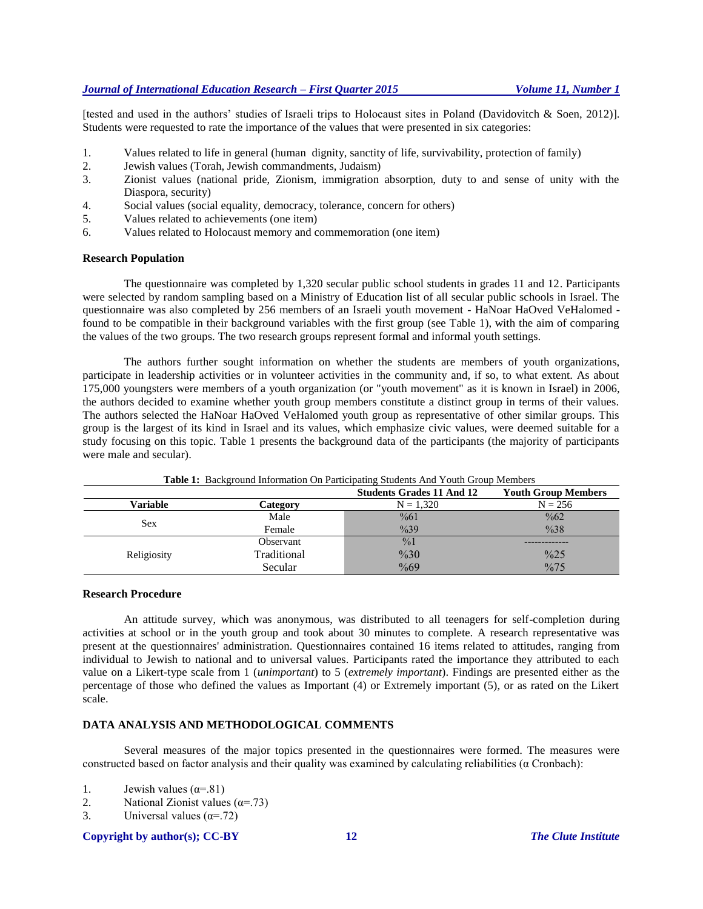[tested and used in the authors' studies of Israeli trips to Holocaust sites in Poland (Davidovitch & Soen, 2012)]. Students were requested to rate the importance of the values that were presented in six categories:

- 1. Values related to life in general (human dignity, sanctity of life, survivability, protection of family)
- 2. Jewish values (Torah, Jewish commandments, Judaism)
- 3. Zionist values (national pride, Zionism, immigration absorption, duty to and sense of unity with the Diaspora, security)
- 4. Social values (social equality, democracy, tolerance, concern for others)
- 5. Values related to achievements (one item)
- 6. Values related to Holocaust memory and commemoration (one item)

## **Research Population**

The questionnaire was completed by 1,320 secular public school students in grades 11 and 12. Participants were selected by random sampling based on a Ministry of Education list of all secular public schools in Israel. The questionnaire was also completed by 256 members of an Israeli youth movement - HaNoar HaOved VeHalomed found to be compatible in their background variables with the first group (see Table 1), with the aim of comparing the values of the two groups. The two research groups represent formal and informal youth settings.

The authors further sought information on whether the students are members of youth organizations, participate in leadership activities or in volunteer activities in the community and, if so, to what extent. As about 175,000 youngsters were members of a youth organization (or "youth movement" as it is known in Israel) in 2006, the authors decided to examine whether youth group members constitute a distinct group in terms of their values. The authors selected the HaNoar HaOved VeHalomed youth group as representative of other similar groups. This group is the largest of its kind in Israel and its values, which emphasize civic values, were deemed suitable for a study focusing on this topic. Table 1 presents the background data of the participants (the majority of participants were male and secular).

|             |             | <b>Students Grades 11 And 12</b> | <b>Youth Group Members</b> |
|-------------|-------------|----------------------------------|----------------------------|
| Variable    | Category    | $N = 1,320$                      | $N = 256$                  |
|             | Male        | $\frac{9}{661}$                  | $\frac{9}{662}$            |
| Sex         | Female      | $\frac{9}{6}39$                  | $\frac{9}{638}$            |
|             | Observant   | $\frac{9}{0}$                    |                            |
| Religiosity | Traditional | %30                              | $\frac{9}{625}$            |
|             | Secular     | $\frac{0}{669}$                  | $\frac{9}{675}$            |

**Table 1:** Background Information On Participating Students And Youth Group Members

# **Research Procedure**

An attitude survey, which was anonymous, was distributed to all teenagers for self-completion during activities at school or in the youth group and took about 30 minutes to complete. A research representative was present at the questionnaires' administration. Questionnaires contained 16 items related to attitudes, ranging from individual to Jewish to national and to universal values. Participants rated the importance they attributed to each value on a Likert-type scale from 1 (*unimportant*) to 5 (*extremely important*). Findings are presented either as the percentage of those who defined the values as Important (4) or Extremely important (5), or as rated on the Likert scale.

# **DATA ANALYSIS AND METHODOLOGICAL COMMENTS**

Several measures of the major topics presented in the questionnaires were formed. The measures were constructed based on factor analysis and their quality was examined by calculating reliabilities ( $\alpha$  Cronbach):

- 1. Jewish values  $(\alpha = .81)$
- 2. National Zionist values  $(\alpha = .73)$
- 3. Universal values  $(\alpha = .72)$

#### **Copyright by author(s); CC-BY 12** *The Clute Institute*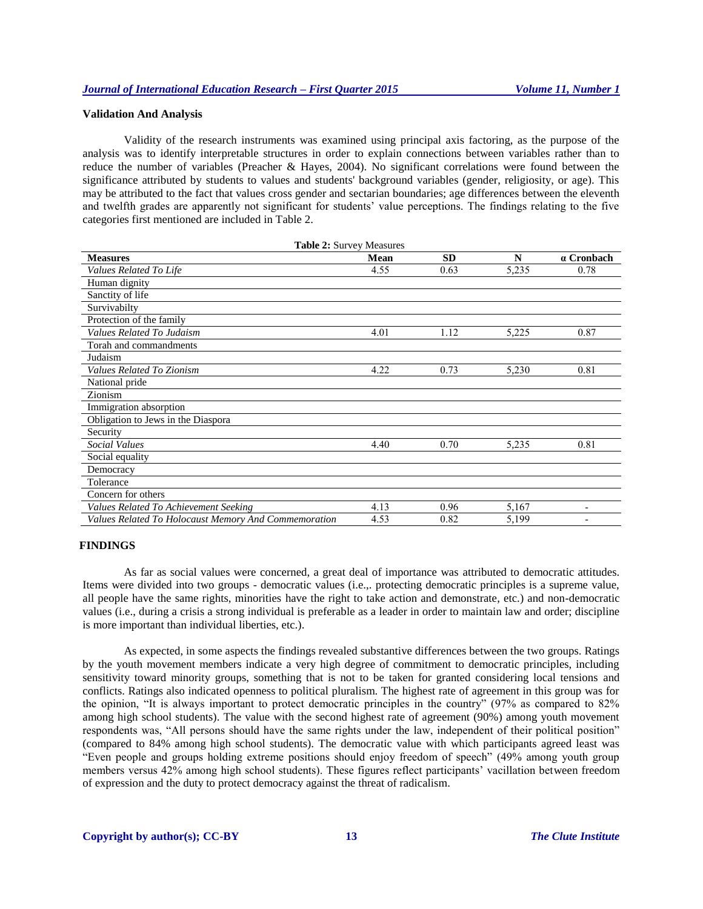#### **Validation And Analysis**

Validity of the research instruments was examined using principal axis factoring, as the purpose of the analysis was to identify interpretable structures in order to explain connections between variables rather than to reduce the number of variables (Preacher & Hayes, 2004). No significant correlations were found between the significance attributed by students to values and students' background variables (gender, religiosity, or age). This may be attributed to the fact that values cross gender and sectarian boundaries; age differences between the eleventh and twelfth grades are apparently not significant for students' value perceptions. The findings relating to the five categories first mentioned are included in Table 2.

| Table 2: Survey Measures                             |             |           |       |                          |  |  |  |
|------------------------------------------------------|-------------|-----------|-------|--------------------------|--|--|--|
| <b>Measures</b>                                      | <b>Mean</b> | <b>SD</b> | N     | a Cronbach               |  |  |  |
| Values Related To Life                               | 4.55        | 0.63      | 5,235 | 0.78                     |  |  |  |
| Human dignity                                        |             |           |       |                          |  |  |  |
| Sanctity of life                                     |             |           |       |                          |  |  |  |
| Survivabilty                                         |             |           |       |                          |  |  |  |
| Protection of the family                             |             |           |       |                          |  |  |  |
| Values Related To Judaism                            | 4.01        | 1.12      | 5,225 | 0.87                     |  |  |  |
| Torah and commandments                               |             |           |       |                          |  |  |  |
| Judaism                                              |             |           |       |                          |  |  |  |
| Values Related To Zionism                            | 4.22        | 0.73      | 5,230 | 0.81                     |  |  |  |
| National pride                                       |             |           |       |                          |  |  |  |
| Zionism                                              |             |           |       |                          |  |  |  |
| Immigration absorption                               |             |           |       |                          |  |  |  |
| Obligation to Jews in the Diaspora                   |             |           |       |                          |  |  |  |
| Security                                             |             |           |       |                          |  |  |  |
| <b>Social Values</b>                                 | 4.40        | 0.70      | 5,235 | 0.81                     |  |  |  |
| Social equality                                      |             |           |       |                          |  |  |  |
| Democracy                                            |             |           |       |                          |  |  |  |
| Tolerance                                            |             |           |       |                          |  |  |  |
| Concern for others                                   |             |           |       |                          |  |  |  |
| Values Related To Achievement Seeking                | 4.13        | 0.96      | 5,167 | $\overline{\phantom{a}}$ |  |  |  |
| Values Related To Holocaust Memory And Commemoration | 4.53        | 0.82      | 5,199 |                          |  |  |  |

#### **FINDINGS**

As far as social values were concerned, a great deal of importance was attributed to democratic attitudes. Items were divided into two groups - democratic values (i.e.,. protecting democratic principles is a supreme value, all people have the same rights, minorities have the right to take action and demonstrate, etc.) and non-democratic values (i.e., during a crisis a strong individual is preferable as a leader in order to maintain law and order; discipline is more important than individual liberties, etc.).

As expected, in some aspects the findings revealed substantive differences between the two groups. Ratings by the youth movement members indicate a very high degree of commitment to democratic principles, including sensitivity toward minority groups, something that is not to be taken for granted considering local tensions and conflicts. Ratings also indicated openness to political pluralism. The highest rate of agreement in this group was for the opinion, "It is always important to protect democratic principles in the country" (97% as compared to 82% among high school students). The value with the second highest rate of agreement (90%) among youth movement respondents was, "All persons should have the same rights under the law, independent of their political position" (compared to 84% among high school students). The democratic value with which participants agreed least was "Even people and groups holding extreme positions should enjoy freedom of speech" (49% among youth group members versus 42% among high school students). These figures reflect participants' vacillation between freedom of expression and the duty to protect democracy against the threat of radicalism.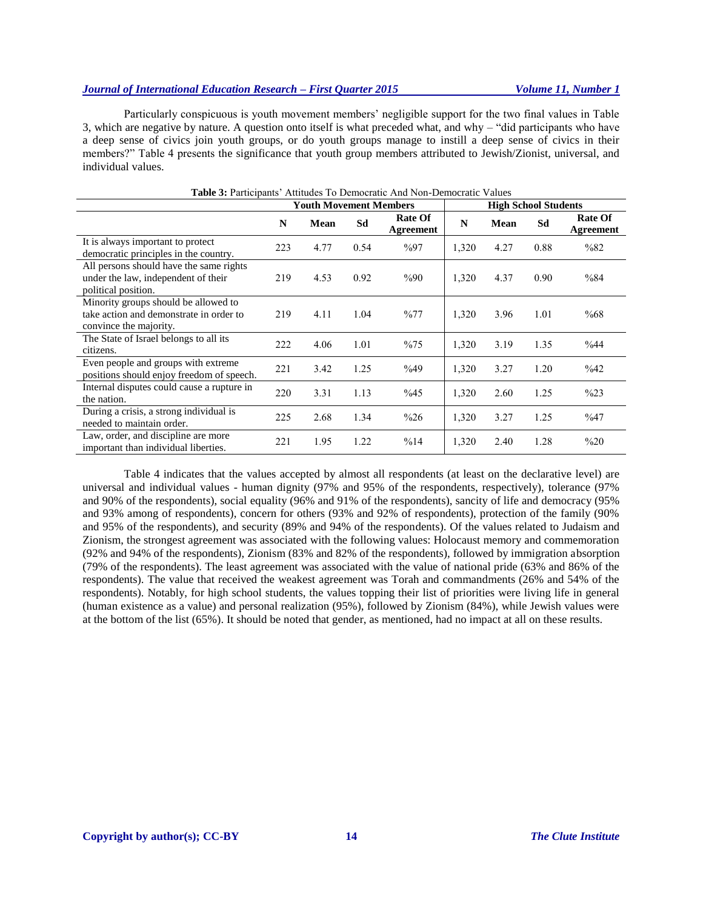Particularly conspicuous is youth movement members' negligible support for the two final values in Table 3, which are negative by nature. A question onto itself is what preceded what, and why – "did participants who have a deep sense of civics join youth groups, or do youth groups manage to instill a deep sense of civics in their members?" Table 4 presents the significance that youth group members attributed to Jewish/Zionist, universal, and individual values.

|                                                                                                           | <b>Youth Movement Members</b> |      |      | <b>High School Students</b> |       |      |      |                             |
|-----------------------------------------------------------------------------------------------------------|-------------------------------|------|------|-----------------------------|-------|------|------|-----------------------------|
|                                                                                                           | N                             | Mean | Sd   | <b>Rate Of</b><br>Agreement | N     | Mean | Sd   | <b>Rate Of</b><br>Agreement |
| It is always important to protect<br>democratic principles in the country.                                | 223                           | 4.77 | 0.54 | $\%97$                      | 1,320 | 4.27 | 0.88 | %82                         |
| All persons should have the same rights<br>under the law, independent of their<br>political position.     | 219                           | 4.53 | 0.92 | %90                         | 1,320 | 4.37 | 0.90 | %84                         |
| Minority groups should be allowed to<br>take action and demonstrate in order to<br>convince the majority. | 219                           | 4.11 | 1.04 | %77                         | 1,320 | 3.96 | 1.01 | %68                         |
| The State of Israel belongs to all its<br>citizens.                                                       | 222                           | 4.06 | 1.01 | %75                         | 1,320 | 3.19 | 1.35 | %44                         |
| Even people and groups with extreme<br>positions should enjoy freedom of speech.                          | 221                           | 3.42 | 1.25 | %49                         | 1,320 | 3.27 | 1.20 | $\%42$                      |
| Internal disputes could cause a rupture in<br>the nation.                                                 | 220                           | 3.31 | 1.13 | %45                         | 1,320 | 2.60 | 1.25 | $\frac{9}{623}$             |
| During a crisis, a strong individual is<br>needed to maintain order.                                      | 225                           | 2.68 | 1.34 | %26                         | 1,320 | 3.27 | 1.25 | %47                         |
| Law, order, and discipline are more<br>important than individual liberties.                               | 221                           | 1.95 | 1.22 | %14                         | 1,320 | 2.40 | 1.28 | %20                         |

# **Table 3:** Participants' Attitudes To Democratic And Non-Democratic Values

Table 4 indicates that the values accepted by almost all respondents (at least on the declarative level) are universal and individual values - human dignity (97% and 95% of the respondents, respectively), tolerance (97% and 90% of the respondents), social equality (96% and 91% of the respondents), sancity of life and democracy (95% and 93% among of respondents), concern for others (93% and 92% of respondents), protection of the family (90% and 95% of the respondents), and security (89% and 94% of the respondents). Of the values related to Judaism and Zionism, the strongest agreement was associated with the following values: Holocaust memory and commemoration (92% and 94% of the respondents), Zionism (83% and 82% of the respondents), followed by immigration absorption (79% of the respondents). The least agreement was associated with the value of national pride (63% and 86% of the respondents). The value that received the weakest agreement was Torah and commandments (26% and 54% of the respondents). Notably, for high school students, the values topping their list of priorities were living life in general (human existence as a value) and personal realization (95%), followed by Zionism (84%), while Jewish values were at the bottom of the list (65%). It should be noted that gender, as mentioned, had no impact at all on these results.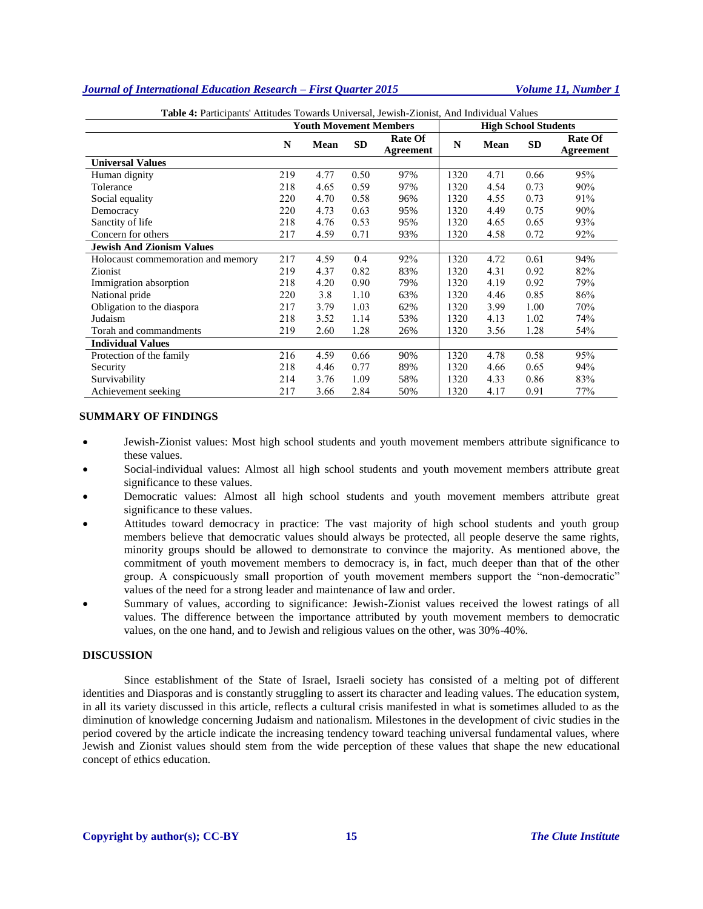|                                    | <b>Tuble 4:</b> I differently truttudes fowards only elsal, Jewish Elonist, this included a dides<br><b>Youth Movement Members</b> |      |           | <b>High School Students</b> |      |             |           |                             |
|------------------------------------|------------------------------------------------------------------------------------------------------------------------------------|------|-----------|-----------------------------|------|-------------|-----------|-----------------------------|
|                                    | N                                                                                                                                  | Mean | <b>SD</b> | <b>Rate Of</b><br>Agreement | N    | <b>Mean</b> | <b>SD</b> | <b>Rate Of</b><br>Agreement |
| <b>Universal Values</b>            |                                                                                                                                    |      |           |                             |      |             |           |                             |
| Human dignity                      | 219                                                                                                                                | 4.77 | 0.50      | 97%                         | 1320 | 4.71        | 0.66      | 95%                         |
| Tolerance                          | 218                                                                                                                                | 4.65 | 0.59      | 97%                         | 1320 | 4.54        | 0.73      | 90%                         |
| Social equality                    | 220                                                                                                                                | 4.70 | 0.58      | 96%                         | 1320 | 4.55        | 0.73      | 91%                         |
| Democracy                          | 220                                                                                                                                | 4.73 | 0.63      | 95%                         | 1320 | 4.49        | 0.75      | 90%                         |
| Sanctity of life                   | 218                                                                                                                                | 4.76 | 0.53      | 95%                         | 1320 | 4.65        | 0.65      | 93%                         |
| Concern for others                 | 217                                                                                                                                | 4.59 | 0.71      | 93%                         | 1320 | 4.58        | 0.72      | 92%                         |
| <b>Jewish And Zionism Values</b>   |                                                                                                                                    |      |           |                             |      |             |           |                             |
| Holocaust commemoration and memory | 217                                                                                                                                | 4.59 | 0.4       | 92%                         | 1320 | 4.72        | 0.61      | 94%                         |
| Zionist                            | 219                                                                                                                                | 4.37 | 0.82      | 83%                         | 1320 | 4.31        | 0.92      | 82%                         |
| Immigration absorption             | 218                                                                                                                                | 4.20 | 0.90      | 79%                         | 1320 | 4.19        | 0.92      | 79%                         |
| National pride                     | 220                                                                                                                                | 3.8  | 1.10      | 63%                         | 1320 | 4.46        | 0.85      | 86%                         |
| Obligation to the diaspora         | 217                                                                                                                                | 3.79 | 1.03      | 62%                         | 1320 | 3.99        | 1.00      | 70%                         |
| Judaism                            | 218                                                                                                                                | 3.52 | 1.14      | 53%                         | 1320 | 4.13        | 1.02      | 74%                         |
| Torah and commandments             | 219                                                                                                                                | 2.60 | 1.28      | 26%                         | 1320 | 3.56        | 1.28      | 54%                         |
| <b>Individual Values</b>           |                                                                                                                                    |      |           |                             |      |             |           |                             |
| Protection of the family           | 216                                                                                                                                | 4.59 | 0.66      | 90%                         | 1320 | 4.78        | 0.58      | 95%                         |
| Security                           | 218                                                                                                                                | 4.46 | 0.77      | 89%                         | 1320 | 4.66        | 0.65      | 94%                         |
| Survivability                      | 214                                                                                                                                | 3.76 | 1.09      | 58%                         | 1320 | 4.33        | 0.86      | 83%                         |
| Achievement seeking                | 217                                                                                                                                | 3.66 | 2.84      | 50%                         | 1320 | 4.17        | 0.91      | 77%                         |

**Table 4:** Participants' Attitudes Towards Universal, Jewish-Zionist, And Individual Values

#### **SUMMARY OF FINDINGS**

- Jewish-Zionist values: Most high school students and youth movement members attribute significance to these values.
- Social-individual values: Almost all high school students and youth movement members attribute great significance to these values.
- Democratic values: Almost all high school students and youth movement members attribute great significance to these values.
- Attitudes toward democracy in practice: The vast majority of high school students and youth group members believe that democratic values should always be protected, all people deserve the same rights, minority groups should be allowed to demonstrate to convince the majority. As mentioned above, the commitment of youth movement members to democracy is, in fact, much deeper than that of the other group. A conspicuously small proportion of youth movement members support the "non-democratic" values of the need for a strong leader and maintenance of law and order.
- Summary of values, according to significance: Jewish-Zionist values received the lowest ratings of all values. The difference between the importance attributed by youth movement members to democratic values, on the one hand, and to Jewish and religious values on the other, was 30%-40%.

## **DISCUSSION**

Since establishment of the State of Israel, Israeli society has consisted of a melting pot of different identities and Diasporas and is constantly struggling to assert its character and leading values. The education system, in all its variety discussed in this article, reflects a cultural crisis manifested in what is sometimes alluded to as the diminution of knowledge concerning Judaism and nationalism. Milestones in the development of civic studies in the period covered by the article indicate the increasing tendency toward teaching universal fundamental values, where Jewish and Zionist values should stem from the wide perception of these values that shape the new educational concept of ethics education.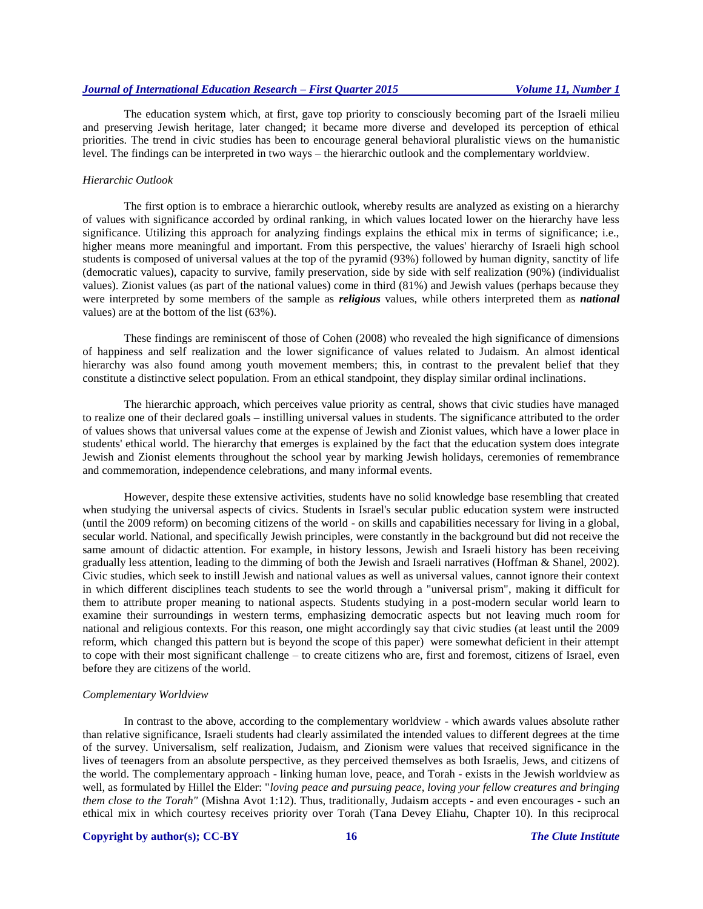The education system which, at first, gave top priority to consciously becoming part of the Israeli milieu and preserving Jewish heritage, later changed; it became more diverse and developed its perception of ethical priorities. The trend in civic studies has been to encourage general behavioral pluralistic views on the humanistic level. The findings can be interpreted in two ways – the hierarchic outlook and the complementary worldview.

#### *Hierarchic Outlook*

The first option is to embrace a hierarchic outlook, whereby results are analyzed as existing on a hierarchy of values with significance accorded by ordinal ranking, in which values located lower on the hierarchy have less significance. Utilizing this approach for analyzing findings explains the ethical mix in terms of significance; i.e., higher means more meaningful and important. From this perspective, the values' hierarchy of Israeli high school students is composed of universal values at the top of the pyramid (93%) followed by human dignity, sanctity of life (democratic values), capacity to survive, family preservation, side by side with self realization (90%) (individualist values). Zionist values (as part of the national values) come in third (81%) and Jewish values (perhaps because they were interpreted by some members of the sample as *religious* values, while others interpreted them as *national* values) are at the bottom of the list (63%).

These findings are reminiscent of those of Cohen (2008) who revealed the high significance of dimensions of happiness and self realization and the lower significance of values related to Judaism. An almost identical hierarchy was also found among youth movement members; this, in contrast to the prevalent belief that they constitute a distinctive select population. From an ethical standpoint, they display similar ordinal inclinations.

The hierarchic approach, which perceives value priority as central, shows that civic studies have managed to realize one of their declared goals – instilling universal values in students. The significance attributed to the order of values shows that universal values come at the expense of Jewish and Zionist values, which have a lower place in students' ethical world. The hierarchy that emerges is explained by the fact that the education system does integrate Jewish and Zionist elements throughout the school year by marking Jewish holidays, ceremonies of remembrance and commemoration, independence celebrations, and many informal events.

However, despite these extensive activities, students have no solid knowledge base resembling that created when studying the universal aspects of civics. Students in Israel's secular public education system were instructed (until the 2009 reform) on becoming citizens of the world - on skills and capabilities necessary for living in a global, secular world. National, and specifically Jewish principles, were constantly in the background but did not receive the same amount of didactic attention. For example, in history lessons, Jewish and Israeli history has been receiving gradually less attention, leading to the dimming of both the Jewish and Israeli narratives (Hoffman & Shanel, 2002). Civic studies, which seek to instill Jewish and national values as well as universal values, cannot ignore their context in which different disciplines teach students to see the world through a "universal prism", making it difficult for them to attribute proper meaning to national aspects. Students studying in a post-modern secular world learn to examine their surroundings in western terms, emphasizing democratic aspects but not leaving much room for national and religious contexts. For this reason, one might accordingly say that civic studies (at least until the 2009 reform, which changed this pattern but is beyond the scope of this paper) were somewhat deficient in their attempt to cope with their most significant challenge – to create citizens who are, first and foremost, citizens of Israel, even before they are citizens of the world.

#### *Complementary Worldview*

In contrast to the above, according to the complementary worldview - which awards values absolute rather than relative significance, Israeli students had clearly assimilated the intended values to different degrees at the time of the survey. Universalism, self realization, Judaism, and Zionism were values that received significance in the lives of teenagers from an absolute perspective, as they perceived themselves as both Israelis, Jews, and citizens of the world. The complementary approach - linking human love, peace, and Torah - exists in the Jewish worldview as well, as formulated by Hillel the Elder: "*loving peace and pursuing peace, loving your fellow creatures and bringing them close to the Torah"* (Mishna Avot 1:12). Thus, traditionally, Judaism accepts - and even encourages - such an ethical mix in which courtesy receives priority over Torah (Tana Devey Eliahu, Chapter 10). In this reciprocal

#### **Copyright by author(s); CC-BY 16 16** *The Clute Institute*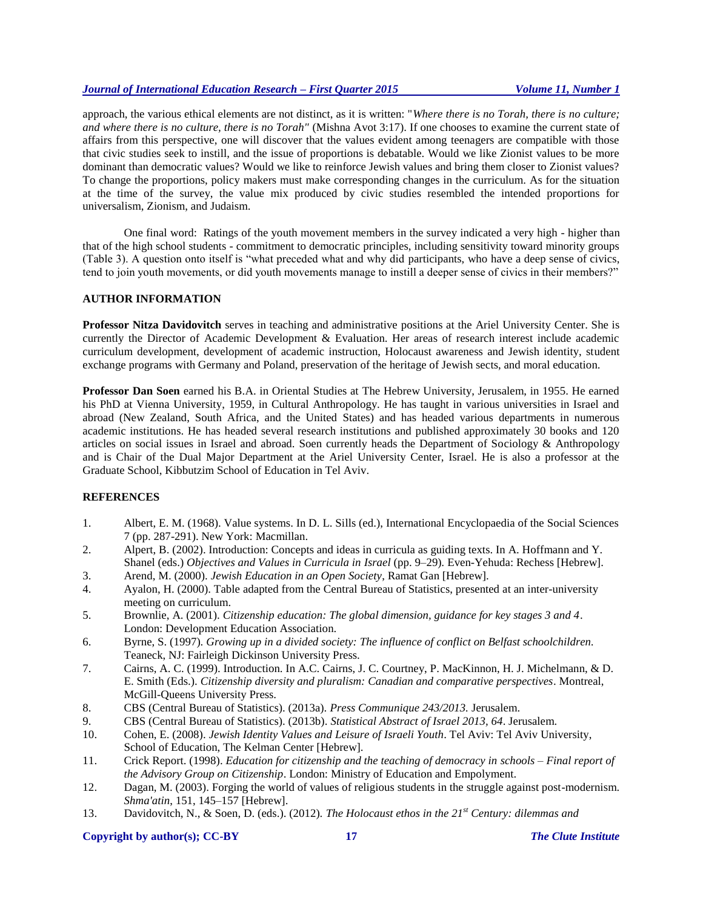approach, the various ethical elements are not distinct, as it is written: "*Where there is no Torah, there is no culture; and where there is no culture, there is no Torah"* (Mishna Avot 3:17). If one chooses to examine the current state of affairs from this perspective, one will discover that the values evident among teenagers are compatible with those that civic studies seek to instill, and the issue of proportions is debatable. Would we like Zionist values to be more dominant than democratic values? Would we like to reinforce Jewish values and bring them closer to Zionist values? To change the proportions, policy makers must make corresponding changes in the curriculum. As for the situation at the time of the survey, the value mix produced by civic studies resembled the intended proportions for universalism, Zionism, and Judaism.

One final word: Ratings of the youth movement members in the survey indicated a very high - higher than that of the high school students - commitment to democratic principles, including sensitivity toward minority groups (Table 3). A question onto itself is "what preceded what and why did participants, who have a deep sense of civics, tend to join youth movements, or did youth movements manage to instill a deeper sense of civics in their members?"

# **AUTHOR INFORMATION**

**Professor Nitza Davidovitch** serves in teaching and administrative positions at the Ariel University Center. She is currently the Director of Academic Development & Evaluation. Her areas of research interest include academic curriculum development, development of academic instruction, Holocaust awareness and Jewish identity, student exchange programs with Germany and Poland, preservation of the heritage of Jewish sects, and moral education.

**Professor Dan Soen** earned his B.A. in Oriental Studies at The Hebrew University, Jerusalem, in 1955. He earned his PhD at Vienna University, 1959, in Cultural Anthropology. He has taught in various universities in Israel and abroad (New Zealand, South Africa, and the United States) and has headed various departments in numerous academic institutions. He has headed several research institutions and published approximately 30 books and 120 articles on social issues in Israel and abroad. Soen currently heads the Department of Sociology & Anthropology and is Chair of the Dual Major Department at the Ariel University Center, Israel. He is also a professor at the Graduate School, Kibbutzim School of Education in Tel Aviv.

# **REFERENCES**

- 1. Albert, E. M. (1968). Value systems. In D. L. Sills (ed.), International Encyclopaedia of the Social Sciences 7 (pp. 287-291). New York: Macmillan.
- 2. Alpert, B. (2002). Introduction: Concepts and ideas in curricula as guiding texts. In A. Hoffmann and Y. Shanel (eds.) *Objectives and Values in Curricula in Israel* (pp. 9–29)*.* Even-Yehuda: Rechess [Hebrew].
- 3. Arend, M. (2000). *Jewish Education in an Open Society*, Ramat Gan [Hebrew].
- 4. Ayalon, H. (2000). Table adapted from the Central Bureau of Statistics, presented at an inter-university meeting on curriculum.
- 5. Brownlie, A. (2001). *Citizenship education: The global dimension, guidance for key stages 3 and 4*. London: Development Education Association.
- 6. Byrne, S. (1997). *Growing up in a divided society: The influence of conflict on Belfast schoolchildren.*  Teaneck, NJ: Fairleigh Dickinson University Press.
- 7. Cairns, A. C. (1999). Introduction. In A.C. Cairns, J. C. Courtney, P. MacKinnon, H. J. Michelmann, & D. E. Smith (Eds.). *Citizenship diversity and pluralism: Canadian and comparative perspectives*. Montreal, McGill-Queens University Press.
- 8. CBS (Central Bureau of Statistics). (2013a). *Press Communique 243/2013.* Jerusalem.
- 9. CBS (Central Bureau of Statistics). (2013b). *Statistical Abstract of Israel 2013, 64*. Jerusalem.
- 10. Cohen, E. (2008). *Jewish Identity Values and Leisure of Israeli Youth*. Tel Aviv: Tel Aviv University, School of Education, The Kelman Center [Hebrew].
- 11. Crick Report. (1998). *Education for citizenship and the teaching of democracy in schools – Final report of the Advisory Group on Citizenship*. London: Ministry of Education and Empolyment.
- 12. Dagan, M. (2003). Forging the world of values of religious students in the struggle against post-modernism. *Shma'atin*, 151, 145–157 [Hebrew].
- 13. Davidovitch, N., & Soen, D. (eds.). (2012). *The Holocaust ethos in the 21st Century: dilemmas and*

# **Copyright by author(s); CC-BY 17** *The Clute Institute*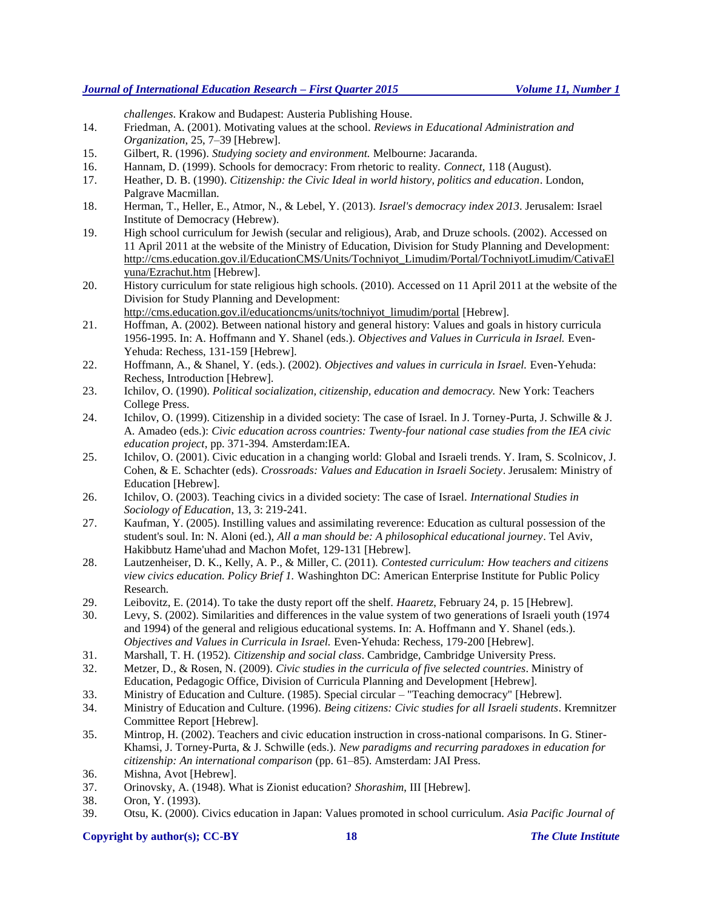*challenges*. Krakow and Budapest: Austeria Publishing House.

- 14. Friedman, A. (2001). Motivating values at the school. *Reviews in Educational Administration and Organization*, 25, 7–39 [Hebrew].
- 15. Gilbert, R. (1996). *Studying society and environment.* Melbourne: Jacaranda.
- 16. Hannam, D. (1999). Schools for democracy: From rhetoric to reality. *Connect,* 118 (August).
- 17. Heather, D. B. (1990). *Citizenship: the Civic Ideal in world history, politics and education*. London, Palgrave Macmillan.
- 18. Herman, T., Heller, E., Atmor, N., & Lebel, Y. (2013). *Israel's democracy index 2013*. Jerusalem: Israel Institute of Democracy (Hebrew).
- 19. High school curriculum for Jewish (secular and religious), Arab, and Druze schools. (2002). Accessed on 11 April 2011 at the website of the Ministry of Education, Division for Study Planning and Development: [http://cms.education.gov.il/EducationCMS/Units/Tochniyot\\_Limudim/Portal/TochniyotLimudim/CativaEl](http://cms.education.gov.il/EducationCMS/Units/Tochniyot_Limudim/Portal/TochniyotLimudim/CativaElyuna/Ezrachut.htm) [yuna/Ezrachut.htm](http://cms.education.gov.il/EducationCMS/Units/Tochniyot_Limudim/Portal/TochniyotLimudim/CativaElyuna/Ezrachut.htm) [Hebrew].
- 20. History curriculum for state religious high schools. (2010). Accessed on 11 April 2011 at the website of the Division for Study Planning and Development:

[http://cms.education.gov.il/educationcms/units/tochniyot\\_limudim/portal](http://cms.education.gov.il/educationcms/units/tochniyot_limudim/portal) [Hebrew].

- 21. Hoffman, A. (2002). Between national history and general history: Values and goals in history curricula 1956-1995. In: A. Hoffmann and Y. Shanel (eds.). *Objectives and Values in Curricula in Israel.* Even-Yehuda: Rechess, 131-159 [Hebrew].
- 22. Hoffmann, A., & Shanel, Y. (eds.). (2002). *Objectives and values in curricula in Israel.* Even-Yehuda: Rechess, Introduction [Hebrew].
- 23. Ichilov, O. (1990). *Political socialization, citizenship, education and democracy.* New York: Teachers College Press.
- 24. Ichilov, O. (1999). Citizenship in a divided society: The case of Israel. In J. Torney-Purta, J. Schwille & J. A. Amadeo (eds.): *Civic education across countries: Twenty-four national case studies from the IEA civic education project*, pp. 371-394*.* Amsterdam:IEA.
- 25. Ichilov, O. (2001). Civic education in a changing world: Global and Israeli trends. Y. Iram, S. Scolnicov, J. Cohen, & E. Schachter (eds). *Crossroads: Values and Education in Israeli Society*. Jerusalem: Ministry of Education [Hebrew].
- 26. Ichilov, O. (2003). Teaching civics in a divided society: The case of Israel. *International Studies in Sociology of Education*, 13, 3: 219-241.
- 27. Kaufman, Y. (2005). Instilling values and assimilating reverence: Education as cultural possession of the student's soul. In: N. Aloni (ed.), *All a man should be: A philosophical educational journey*. Tel Aviv, Hakibbutz Hame'uhad and Machon Mofet, 129-131 [Hebrew].
- 28. Lautzenheiser, D. K., Kelly, A. P., & Miller, C. (2011). *Contested curriculum: How teachers and citizens view civics education. Policy Brief 1.* Washinghton DC: American Enterprise Institute for Public Policy Research.
- 29. Leibovitz, E. (2014). To take the dusty report off the shelf. *Haaretz*, February 24, p. 15 [Hebrew].
- 30. Levy, S. (2002). Similarities and differences in the value system of two generations of Israeli youth (1974 and 1994) of the general and religious educational systems. In: A. Hoffmann and Y. Shanel (eds.). *Objectives and Values in Curricula in Israel.* Even-Yehuda: Rechess, 179-200 [Hebrew].
- 31. Marshall, T. H. (1952). *Citizenship and social class*. Cambridge, Cambridge University Press.
- 32. Metzer, D., & Rosen, N. (2009). *Civic studies in the curricula of five selected countries*. Ministry of Education, Pedagogic Office, Division of Curricula Planning and Development [Hebrew].
- 33. Ministry of Education and Culture. (1985). Special circular "Teaching democracy" [Hebrew].
- 34. Ministry of Education and Culture. (1996). *Being citizens: Civic studies for all Israeli students*. Kremnitzer Committee Report [Hebrew].
- 35. Mintrop, H. (2002). Teachers and civic education instruction in cross-national comparisons. In G. Stiner-Khamsi, J. Torney-Purta, & J. Schwille (eds.). *New paradigms and recurring paradoxes in education for citizenship: An international comparison* (pp. 61–85). Amsterdam: JAI Press.
- 36. Mishna, Avot [Hebrew].
- 37. Orinovsky, A. (1948). What is Zionist education? *Shorashim*, III [Hebrew].
- 38. Oron, Y. (1993).
- 39. Otsu, K. (2000). Civics education in Japan: Values promoted in school curriculum. *Asia Pacific Journal of*

# **Copyright by author(s); CC-BY 18** *The Clute Institute*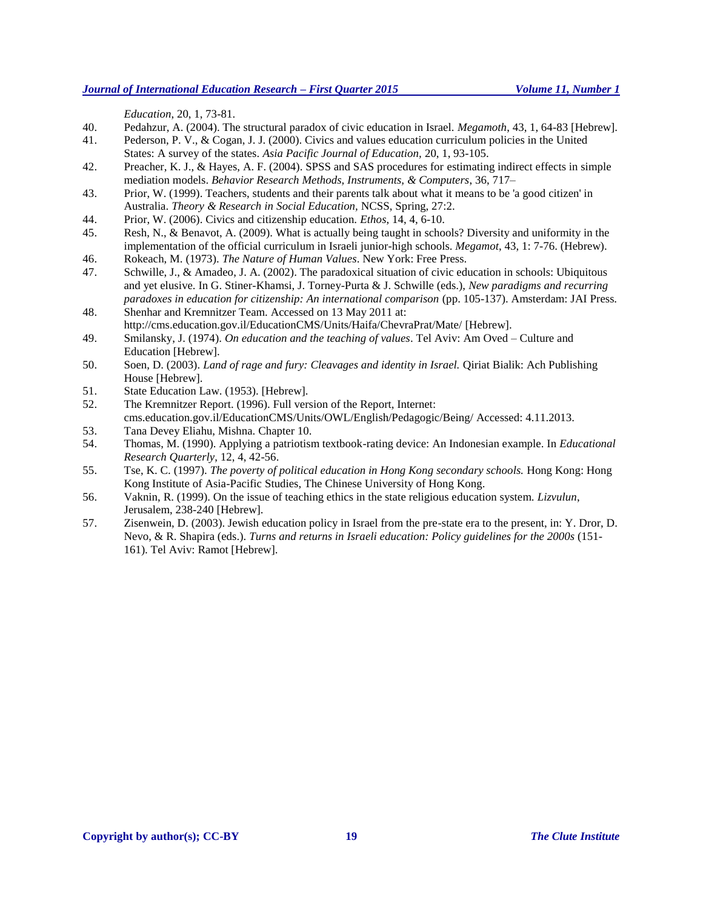*Education*, 20, 1, 73-81.

40. Pedahzur, A. (2004). The structural paradox of civic education in Israel. *Megamoth*, 43, 1, 64-83 [Hebrew].

41. Pederson, P. V., & Cogan, J. J. (2000). Civics and values education curriculum policies in the United States: A survey of the states. *Asia Pacific Journal of Education,* 20, 1, 93-105.

- 42. Preacher, K. J., & Hayes, A. F. (2004). SPSS and SAS procedures for estimating indirect effects in simple mediation models. *Behavior Research Methods, Instruments, & Computers*, 36, 717–
- 43. Prior, W. (1999). Teachers, students and their parents talk about what it means to be 'a good citizen' in Australia. *Theory & Research in Social Education,* NCSS, Spring, 27:2.
- 44. Prior, W. (2006). Civics and citizenship education. *Ethos*, 14, 4, 6-10.
- 45. Resh, N., & Benavot, A. (2009). What is actually being taught in schools? Diversity and uniformity in the implementation of the official curriculum in Israeli junior-high schools. *Megamot*, 43, 1: 7-76. (Hebrew).
- 46. Rokeach, M. (1973). *The Nature of Human Values*. New York: Free Press.
- 47. Schwille, J., & Amadeo, J. A. (2002). The paradoxical situation of civic education in schools: Ubiquitous and yet elusive. In G. Stiner-Khamsi, J. Torney-Purta & J. Schwille (eds.), *New paradigms and recurring paradoxes in education for citizenship: An international comparison* (pp. 105-137). Amsterdam: JAI Press.
- 48. Shenhar and Kremnitzer Team. Accessed on 13 May 2011 at: <http://cms.education.gov.il/EducationCMS/Units/Haifa/ChevraPrat/Mate/> [Hebrew].
- 49. Smilansky, J. (1974). *On education and the teaching of values*. Tel Aviv: Am Oved Culture and Education [Hebrew].
- 50. Soen, D. (2003). *Land of rage and fury: Cleavages and identity in Israel.* Qiriat Bialik: Ach Publishing House [Hebrew].
- 51. State Education Law. (1953). [Hebrew].
- 52. The Kremnitzer Report. (1996). Full version of the Report, Internet: cms.education.gov.il/EducationCMS/Units/OWL/English/Pedagogic/Being/ Accessed: 4.11.2013.
- 53. Tana Devey Eliahu, Mishna. Chapter 10.
- 54. Thomas, M. (1990). Applying a patriotism textbook-rating device: An Indonesian example. In *Educational Research Quarterly*, 12, 4, 42-56.
- 55. Tse, K. C. (1997). *The poverty of political education in Hong Kong secondary schools.* Hong Kong: Hong Kong Institute of Asia-Pacific Studies, The Chinese University of Hong Kong.
- 56. Vaknin, R. (1999). On the issue of teaching ethics in the state religious education system. *Lizvulun*, Jerusalem, 238-240 [Hebrew].
- 57. Zisenwein, D. (2003). Jewish education policy in Israel from the pre-state era to the present, in: Y. Dror, D. Nevo, & R. Shapira (eds.). *Turns and returns in Israeli education: Policy guidelines for the 2000s* (151- 161)*.* Tel Aviv: Ramot [Hebrew].